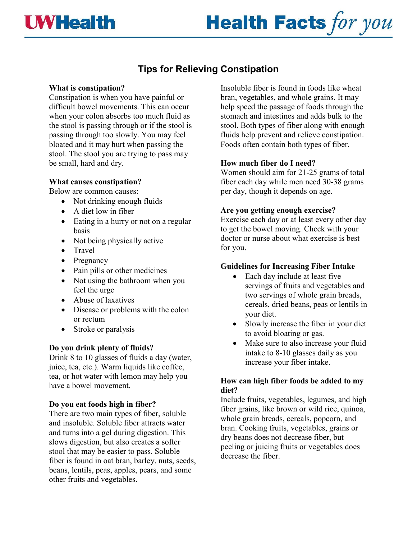## **WHealth**

# **Health Facts for you**

### **Tips for Relieving Constipation**

#### **What is constipation?**

Constipation is when you have painful or difficult bowel movements. This can occur when your colon absorbs too much fluid as the stool is passing through or if the stool is passing through too slowly. You may feel bloated and it may hurt when passing the stool. The stool you are trying to pass may be small, hard and dry.

#### **What causes constipation?**

Below are common causes:

- Not drinking enough fluids
- A diet low in fiber
- Eating in a hurry or not on a regular basis
- Not being physically active
- Travel
- Pregnancy
- Pain pills or other medicines
- Not using the bathroom when you feel the urge
- Abuse of laxatives
- Disease or problems with the colon or rectum
- Stroke or paralysis

#### **Do you drink plenty of fluids?**

Drink 8 to 10 glasses of fluids a day (water, juice, tea, etc.). Warm liquids like coffee, tea, or hot water with lemon may help you have a bowel movement.

#### **Do you eat foods high in fiber?**

There are two main types of fiber, soluble and insoluble. Soluble fiber attracts water and turns into a gel during digestion. This slows digestion, but also creates a softer stool that may be easier to pass. Soluble fiber is found in oat bran, barley, nuts, seeds, beans, lentils, peas, apples, pears, and some other fruits and vegetables.

Insoluble fiber is found in foods like wheat bran, vegetables, and whole grains. It may help speed the passage of foods through the stomach and intestines and adds bulk to the stool. Both types of fiber along with enough fluids help prevent and relieve constipation. Foods often contain both types of fiber.

#### **How much fiber do I need?**

Women should aim for 21-25 grams of total fiber each day while men need 30-38 grams per day, though it depends on age.

#### **Are you getting enough exercise?**

Exercise each day or at least every other day to get the bowel moving. Check with your doctor or nurse about what exercise is best for you.

#### **Guidelines for Increasing Fiber Intake**

- Each day include at least five servings of fruits and vegetables and two servings of whole grain breads, cereals, dried beans, peas or lentils in your diet.
- Slowly increase the fiber in your diet to avoid bloating or gas.
- Make sure to also increase your fluid intake to 8-10 glasses daily as you increase your fiber intake.

#### **How can high fiber foods be added to my diet?**

Include fruits, vegetables, legumes, and high fiber grains, like brown or wild rice, quinoa, whole grain breads, cereals, popcorn, and bran. Cooking fruits, vegetables, grains or dry beans does not decrease fiber, but peeling or juicing fruits or vegetables does decrease the fiber.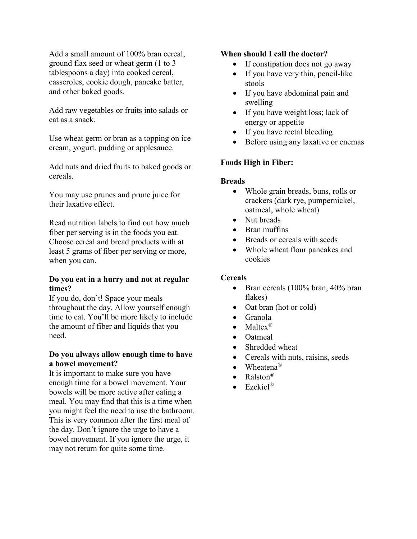Add a small amount of 100% bran cereal, ground flax seed or wheat germ (1 to 3 tablespoons a day) into cooked cereal, casseroles, cookie dough, pancake batter, and other baked goods.

Add raw vegetables or fruits into salads or eat as a snack.

Use wheat germ or bran as a topping on ice cream, yogurt, pudding or applesauce.

Add nuts and dried fruits to baked goods or cereals.

You may use prunes and prune juice for their laxative effect.

Read nutrition labels to find out how much fiber per serving is in the foods you eat. Choose cereal and bread products with at least 5 grams of fiber per serving or more, when you can.

#### **Do you eat in a hurry and not at regular times?**

If you do, don't! Space your meals throughout the day. Allow yourself enough time to eat. You'll be more likely to include the amount of fiber and liquids that you need.

#### **Do you always allow enough time to have a bowel movement?**

It is important to make sure you have enough time for a bowel movement. Your bowels will be more active after eating a meal. You may find that this is a time when you might feel the need to use the bathroom. This is very common after the first meal of the day. Don't ignore the urge to have a bowel movement. If you ignore the urge, it may not return for quite some time.

#### **When should I call the doctor?**

- If constipation does not go away
- If you have very thin, pencil-like stools
- If you have abdominal pain and swelling
- If you have weight loss; lack of energy or appetite
- If you have rectal bleeding
- Before using any laxative or enemas

#### **Foods High in Fiber:**

#### **Breads**

- Whole grain breads, buns, rolls or crackers (dark rye, pumpernickel, oatmeal, whole wheat)
- Nut breads
- Bran muffins
- Breads or cereals with seeds
- Whole wheat flour pancakes and cookies

#### **Cereals**

- Bran cereals (100% bran, 40% bran flakes)
- Oat bran (hot or cold)
- Granola
- Maltex $^{\circledR}$
- Oatmeal
- Shredded wheat
- Cereals with nuts, raisins, seeds
- Wheatena $^{\circledR}$
- Ralston®
- Ezekiel®